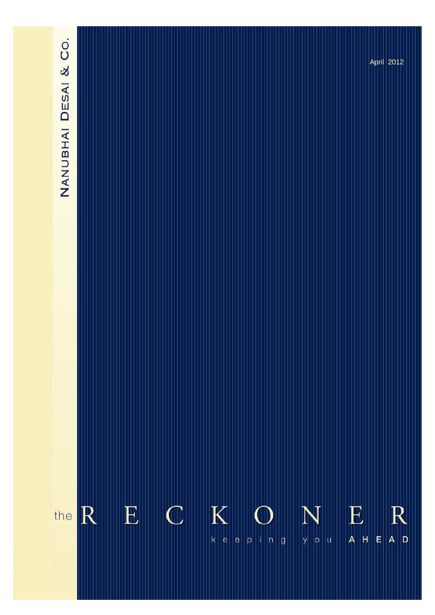# NANUBHAI DESAI & CO.

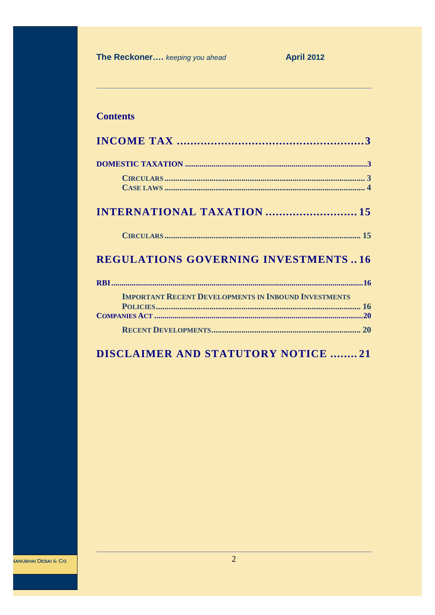**April 2012** 

# **Contents**

| <b>REGULATIONS GOVERNING INVESTMENTS16</b>                  |
|-------------------------------------------------------------|
|                                                             |
| <b>IMPORTANT RECENT DEVELOPMENTS IN INBOUND INVESTMENTS</b> |
|                                                             |
|                                                             |
| <b>DISCLAIMER AND STATUTORY NOTICE 21</b>                   |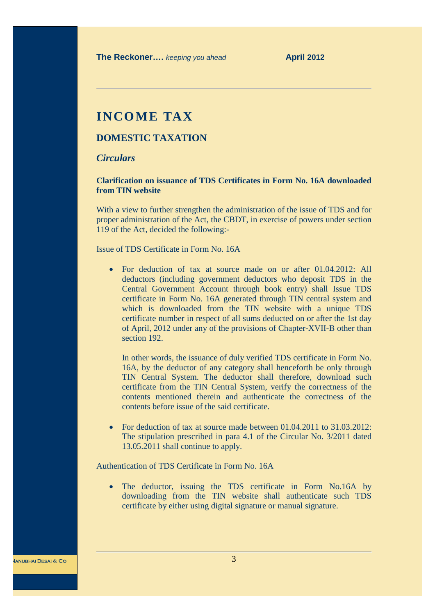# **INCOME TAX**

# **DOMESTIC TAXATION**

# *Circulars*

**Clarification on issuance of TDS Certificates in Form No. 16A downloaded from TIN website**

With a view to further strengthen the administration of the issue of TDS and for proper administration of the Act, the CBDT, in exercise of powers under section 119 of the Act, decided the following:-

Issue of TDS Certificate in Form No. 16A

• For deduction of tax at source made on or after 01.04.2012: All deductors (including government deductors who deposit TDS in the Central Government Account through book entry) shall Issue TDS certificate in Form No. 16A generated through TIN central system and which is downloaded from the TIN website with a unique TDS certificate number in respect of all sums deducted on or after the 1st day of April, 2012 under any of the provisions of Chapter-XVII-B other than section 192.

In other words, the issuance of duly verified TDS certificate in Form No. 16A, by the deductor of any category shall henceforth be only through TIN Central System. The deductor shall therefore, download such certificate from the TIN Central System, verify the correctness of the contents mentioned therein and authenticate the correctness of the contents before issue of the said certificate.

• For deduction of tax at source made between 01.04.2011 to 31.03.2012: The stipulation prescribed in para 4.1 of the Circular No. 3/2011 dated 13.05.2011 shall continue to apply.

Authentication of TDS Certificate in Form No. 16A

• The deductor, issuing the TDS certificate in Form No.16A by downloading from the TIN website shall authenticate such TDS certificate by either using digital signature or manual signature.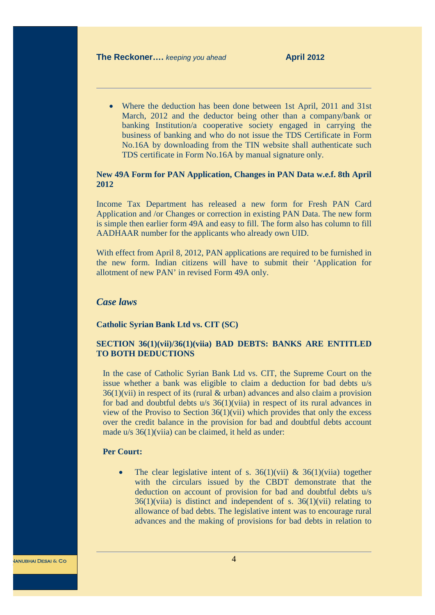• Where the deduction has been done between 1st April, 2011 and 31st March, 2012 and the deductor being other than a company/bank or banking Institution/a cooperative society engaged in carrying the business of banking and who do not issue the TDS Certificate in Form No.16A by downloading from the TIN website shall authenticate such TDS certificate in Form No.16A by manual signature only.

# **New 49A Form for PAN Application, Changes in PAN Data w.e.f. 8th April 2012**

Income Tax Department has released a new form for Fresh PAN Card Application and /or Changes or correction in existing PAN Data. The new form is simple then earlier form 49A and easy to fill. The form also has column to fill AADHAAR number for the applicants who already own UID.

With effect from April 8, 2012, PAN applications are required to be furnished in the new form. Indian citizens will have to submit their 'Application for allotment of new PAN' in revised Form 49A only.

# *Case laws*

#### **Catholic Syrian Bank Ltd vs. CIT (SC)**

# **SECTION 36(1)(vii)/36(1)(viia) BAD DEBTS: BANKS ARE ENTITLED TO BOTH DEDUCTIONS**

In the case of Catholic Syrian Bank Ltd vs. CIT, the Supreme Court on the issue whether a bank was eligible to claim a deduction for bad debts u/s  $36(1)$ (vii) in respect of its (rural & urban) advances and also claim a provision for bad and doubtful debts u/s 36(1)(viia) in respect of its rural advances in view of the Proviso to Section  $36(1)(\n \n *with the second term*)$  which provides that only the excess over the credit balance in the provision for bad and doubtful debts account made u/s 36(1)(viia) can be claimed, it held as under:

# **Per Court:**

• The clear legislative intent of s.  $36(1)(\n{\text{vii}})$  &  $36(1)(\n{\text{vii}})$  together with the circulars issued by the CBDT demonstrate that the deduction on account of provision for bad and doubtful debts u/s  $36(1)$ (viia) is distinct and independent of s.  $36(1)$ (vii) relating to allowance of bad debts. The legislative intent was to encourage rural advances and the making of provisions for bad debts in relation to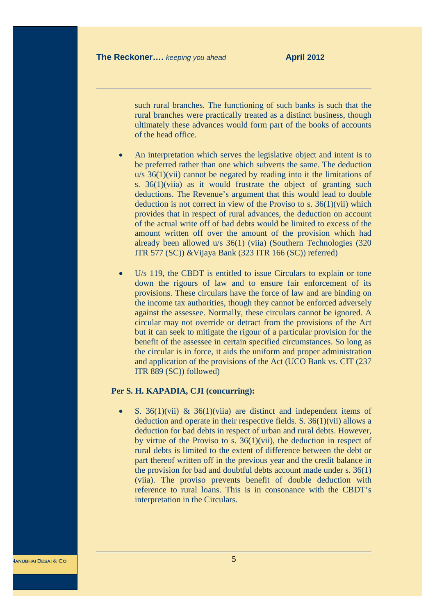such rural branches. The functioning of such banks is such that the rural branches were practically treated as a distinct business, though ultimately these advances would form part of the books of accounts of the head office.

- An interpretation which serves the legislative object and intent is to be preferred rather than one which subverts the same. The deduction  $u/s$  36(1)(vii) cannot be negated by reading into it the limitations of s. 36(1)(viia) as it would frustrate the object of granting such deductions. The Revenue's argument that this would lead to double deduction is not correct in view of the Proviso to s.  $36(1)(\n{\rm vii})$  which provides that in respect of rural advances, the deduction on account of the actual write off of bad debts would be limited to excess of the amount written off over the amount of the provision which had already been allowed u/s 36(1) (viia) (Southern Technologies (320 ITR 577 (SC)) &Vijaya Bank (323 ITR 166 (SC)) referred)
- U/s 119, the CBDT is entitled to issue Circulars to explain or tone down the rigours of law and to ensure fair enforcement of its provisions. These circulars have the force of law and are binding on the income tax authorities, though they cannot be enforced adversely against the assessee. Normally, these circulars cannot be ignored. A circular may not override or detract from the provisions of the Act but it can seek to mitigate the rigour of a particular provision for the benefit of the assessee in certain specified circumstances. So long as the circular is in force, it aids the uniform and proper administration and application of the provisions of the Act (UCO Bank vs. CIT (237 ITR 889 (SC)) followed)

#### **Per S. H. KAPADIA, CJI (concurring):**

• S.  $36(1)(\text{vii})$  &  $36(1)(\text{viii})$  are distinct and independent items of deduction and operate in their respective fields. S. 36(1)(vii) allows a deduction for bad debts in respect of urban and rural debts. However, by virtue of the Proviso to s.  $36(1)(\n{\text{vii}})$ , the deduction in respect of rural debts is limited to the extent of difference between the debt or part thereof written off in the previous year and the credit balance in the provision for bad and doubtful debts account made under s. 36(1) (viia). The proviso prevents benefit of double deduction with reference to rural loans. This is in consonance with the CBDT's interpretation in the Circulars.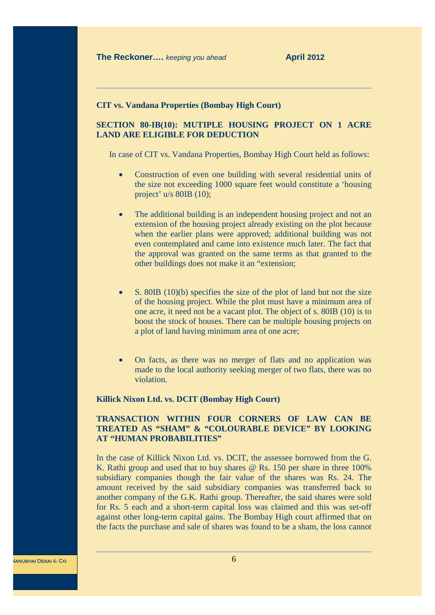#### **CIT vs. Vandana Properties (Bombay High Court)**

# **SECTION 80-IB(10): MUTIPLE HOUSING PROJECT ON 1 ACRE LAND ARE ELIGIBLE FOR DEDUCTION**

In case of CIT vs. Vandana Properties, Bombay High Court held as follows:

- · Construction of even one building with several residential units of the size not exceeding 1000 square feet would constitute a 'housing project' u/s 80IB (10);
- The additional building is an independent housing project and not an extension of the housing project already existing on the plot because when the earlier plans were approved; additional building was not even contemplated and came into existence much later. The fact that the approval was granted on the same terms as that granted to the other buildings does not make it an "extension;
- S. 80IB (10)(b) specifies the size of the plot of land but not the size of the housing project. While the plot must have a minimum area of one acre, it need not be a vacant plot. The object of s. 80IB (10) is to boost the stock of houses. There can be multiple housing projects on a plot of land having minimum area of one acre;
- · On facts, as there was no merger of flats and no application was made to the local authority seeking merger of two flats, there was no violation.

#### **Killick Nixon Ltd. vs. DCIT (Bombay High Court)**

#### **TRANSACTION WITHIN FOUR CORNERS OF LAW CAN BE TREATED AS "SHAM" & "COLOURABLE DEVICE" BY LOOKING AT "HUMAN PROBABILITIES"**

In the case of Killick Nixon Ltd. vs. DCIT, the assessee borrowed from the G. K. Rathi group and used that to buy shares @ Rs. 150 per share in three 100% subsidiary companies though the fair value of the shares was Rs. 24. The amount received by the said subsidiary companies was transferred back to another company of the G.K. Rathi group. Thereafter, the said shares were sold for Rs. 5 each and a short-term capital loss was claimed and this was set-off against other long-term capital gains. The Bombay High court affirmed that on the facts the purchase and sale of shares was found to be a sham, the loss cannot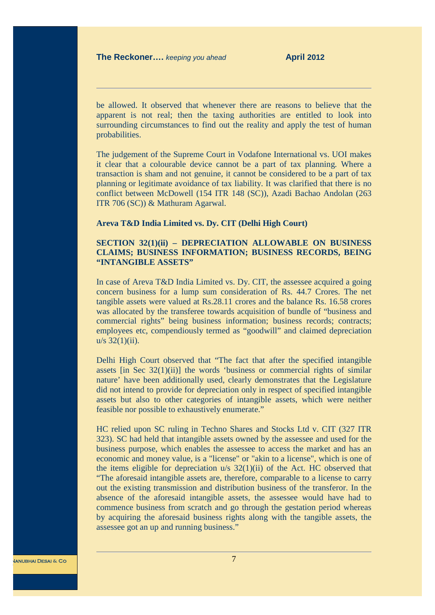be allowed. It observed that whenever there are reasons to believe that the apparent is not real; then the taxing authorities are entitled to look into surrounding circumstances to find out the reality and apply the test of human probabilities.

The judgement of the Supreme Court in Vodafone International vs. UOI makes it clear that a colourable device cannot be a part of tax planning. Where a transaction is sham and not genuine, it cannot be considered to be a part of tax planning or legitimate avoidance of tax liability. It was clarified that there is no conflict between McDowell (154 ITR 148 (SC)), Azadi Bachao Andolan (263 ITR 706 (SC)) & Mathuram Agarwal.

#### **Areva T&D India Limited vs. Dy. CIT (Delhi High Court)**

# **SECTION 32(1)(ii) – DEPRECIATION ALLOWABLE ON BUSINESS CLAIMS; BUSINESS INFORMATION; BUSINESS RECORDS, BEING "INTANGIBLE ASSETS"**

In case of Areva T&D India Limited vs. Dy. CIT, the assessee acquired a going concern business for a lump sum consideration of Rs. 44.7 Crores. The net tangible assets were valued at Rs.28.11 crores and the balance Rs. 16.58 crores was allocated by the transferee towards acquisition of bundle of "business and commercial rights" being business information; business records; contracts; employees etc, compendiously termed as "goodwill" and claimed depreciation  $u/s$  32(1)(ii).

Delhi High Court observed that "The fact that after the specified intangible assets [in Sec 32(1)(ii)] the words 'business or commercial rights of similar nature' have been additionally used, clearly demonstrates that the Legislature did not intend to provide for depreciation only in respect of specified intangible assets but also to other categories of intangible assets, which were neither feasible nor possible to exhaustively enumerate."

HC relied upon SC ruling in Techno Shares and Stocks Ltd v. CIT (327 ITR 323). SC had held that intangible assets owned by the assessee and used for the business purpose, which enables the assessee to access the market and has an economic and money value, is a "license" or "akin to a license", which is one of the items eligible for depreciation  $u/s$  32(1)(ii) of the Act. HC observed that "The aforesaid intangible assets are, therefore, comparable to a license to carry out the existing transmission and distribution business of the transferor. In the absence of the aforesaid intangible assets, the assessee would have had to commence business from scratch and go through the gestation period whereas by acquiring the aforesaid business rights along with the tangible assets, the assessee got an up and running business."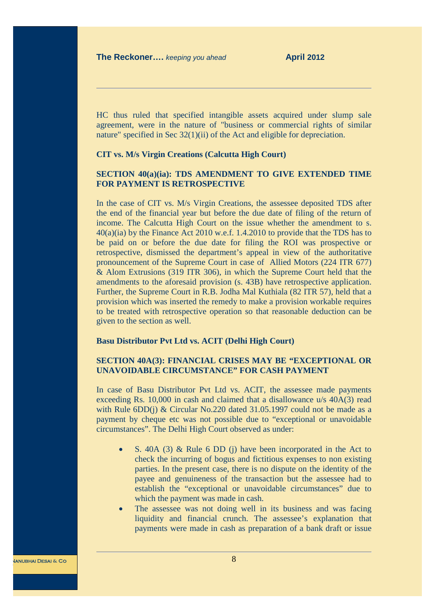HC thus ruled that specified intangible assets acquired under slump sale agreement, were in the nature of "business or commercial rights of similar nature" specified in Sec 32(1)(ii) of the Act and eligible for depreciation.

#### **CIT vs. M/s Virgin Creations (Calcutta High Court)**

# **SECTION 40(a)(ia): TDS AMENDMENT TO GIVE EXTENDED TIME FOR PAYMENT IS RETROSPECTIVE**

In the case of CIT vs. M/s Virgin Creations, the assessee deposited TDS after the end of the financial year but before the due date of filing of the return of income. The Calcutta High Court on the issue whether the amendment to s. 40(a)(ia) by the Finance Act 2010 w.e.f. 1.4.2010 to provide that the TDS has to be paid on or before the due date for filing the ROI was prospective or retrospective, dismissed the department's appeal in view of the authoritative pronouncement of the Supreme Court in case of Allied Motors (224 ITR 677) & Alom Extrusions (319 ITR 306), in which the Supreme Court held that the amendments to the aforesaid provision (s. 43B) have retrospective application. Further, the Supreme Court in R.B. Jodha Mal Kuthiala (82 ITR 57), held that a provision which was inserted the remedy to make a provision workable requires to be treated with retrospective operation so that reasonable deduction can be given to the section as well.

#### **Basu Distributor Pvt Ltd vs. ACIT (Delhi High Court)**

# **SECTION 40A(3): FINANCIAL CRISES MAY BE "EXCEPTIONAL OR UNAVOIDABLE CIRCUMSTANCE" FOR CASH PAYMENT**

In case of Basu Distributor Pvt Ltd vs. ACIT, the assessee made payments exceeding Rs. 10,000 in cash and claimed that a disallowance u/s 40A(3) read with Rule 6DD(j) & Circular No.220 dated 31.05.1997 could not be made as a payment by cheque etc was not possible due to "exceptional or unavoidable circumstances". The Delhi High Court observed as under:

- · S. 40A (3) & Rule 6 DD (j) have been incorporated in the Act to check the incurring of bogus and fictitious expenses to non existing parties. In the present case, there is no dispute on the identity of the payee and genuineness of the transaction but the assessee had to establish the "exceptional or unavoidable circumstances" due to which the payment was made in cash.
- The assessee was not doing well in its business and was facing liquidity and financial crunch. The assessee's explanation that payments were made in cash as preparation of a bank draft or issue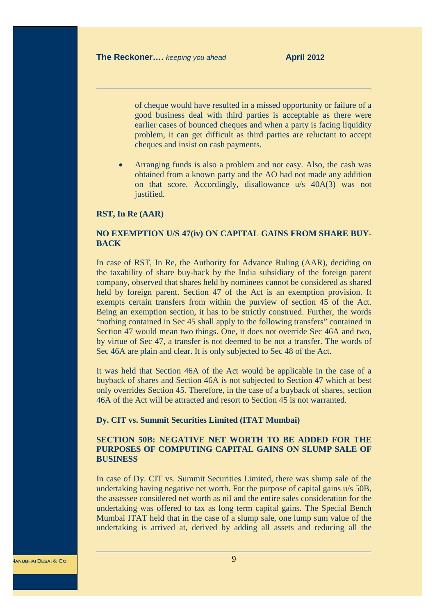of cheque would have resulted in a missed opportunity or failure of a good business deal with third parties is acceptable as there were earlier cases of bounced cheques and when a party is facing liquidity problem, it can get difficult as third parties are reluctant to accept cheques and insist on cash payments.

Arranging funds is also a problem and not easy. Also, the cash was obtained from a known party and the AO had not made any addition on that score. Accordingly, disallowance u/s 40A(3) was not justified.

#### **RST, In Re (AAR)**

## **NO EXEMPTION U/S 47(iv) ON CAPITAL GAINS FROM SHARE BUY-BACK**

In case of RST, In Re, the Authority for Advance Ruling (AAR), deciding on the taxability of share buy-back by the India subsidiary of the foreign parent company, observed that shares held by nominees cannot be considered as shared held by foreign parent. Section 47 of the Act is an exemption provision. It exempts certain transfers from within the purview of section 45 of the Act. Being an exemption section, it has to be strictly construed. Further, the words "nothing contained in Sec 45 shall apply to the following transfers" contained in Section 47 would mean two things. One, it does not override Sec 46A and two, by virtue of Sec 47, a transfer is not deemed to be not a transfer. The words of Sec 46A are plain and clear. It is only subjected to Sec 48 of the Act.

It was held that Section 46A of the Act would be applicable in the case of a buyback of shares and Section 46A is not subjected to Section 47 which at best only overrides Section 45. Therefore, in the case of a buyback of shares, section 46A of the Act will be attracted and resort to Section 45 is not warranted.

#### **Dy. CIT vs. Summit Securities Limited (ITAT Mumbai)**

# **SECTION 50B: NEGATIVE NET WORTH TO BE ADDED FOR THE PURPOSES OF COMPUTING CAPITAL GAINS ON SLUMP SALE OF BUSINESS**

In case of Dy. CIT vs. Summit Securities Limited, there was slump sale of the undertaking having negative net worth. For the purpose of capital gains u/s 50B, the assessee considered net worth as nil and the entire sales consideration for the undertaking was offered to tax as long term capital gains. The Special Bench Mumbai ITAT held that in the case of a slump sale, one lump sum value of the undertaking is arrived at, derived by adding all assets and reducing all the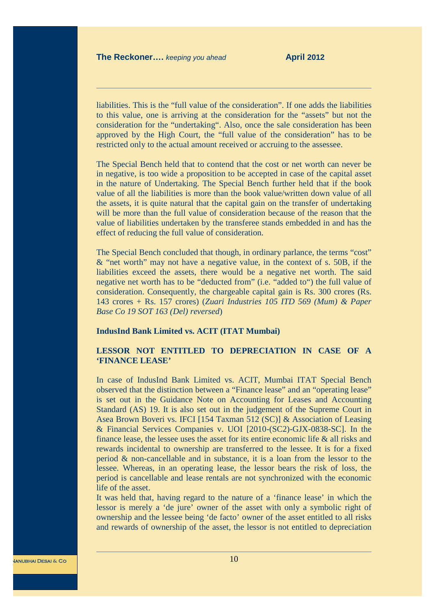liabilities. This is the "full value of the consideration". If one adds the liabilities to this value, one is arriving at the consideration for the "assets" but not the consideration for the "undertaking". Also, once the sale consideration has been approved by the High Court, the "full value of the consideration" has to be restricted only to the actual amount received or accruing to the assessee.

The Special Bench held that to contend that the cost or net worth can never be in negative, is too wide a proposition to be accepted in case of the capital asset in the nature of Undertaking. The Special Bench further held that if the book value of all the liabilities is more than the book value/written down value of all the assets, it is quite natural that the capital gain on the transfer of undertaking will be more than the full value of consideration because of the reason that the value of liabilities undertaken by the transferee stands embedded in and has the effect of reducing the full value of consideration.

The Special Bench concluded that though, in ordinary parlance, the terms "cost" & "net worth" may not have a negative value, in the context of s. 50B, if the liabilities exceed the assets, there would be a negative net worth. The said negative net worth has to be "deducted from" (i.e. "added to") the full value of consideration. Consequently, the chargeable capital gain is Rs. 300 crores (Rs. 143 crores + Rs. 157 crores) (*Zuari Industries 105 ITD 569 (Mum) & Paper Base Co 19 SOT 163 (Del) reversed*)

#### **IndusInd Bank Limited vs. ACIT (ITAT Mumbai)**

# **LESSOR NOT ENTITLED TO DEPRECIATION IN CASE OF A 'FINANCE LEASE'**

In case of IndusInd Bank Limited vs. ACIT, Mumbai ITAT Special Bench observed that the distinction between a "Finance lease" and an "operating lease" is set out in the Guidance Note on Accounting for Leases and Accounting Standard (AS) 19. It is also set out in the judgement of the Supreme Court in Asea Brown Boveri vs. IFCI [154 Taxman 512 (SC)] & Association of Leasing & Financial Services Companies v. UOI [2010-(SC2)-GJX-0838-SC]. In the finance lease, the lessee uses the asset for its entire economic life & all risks and rewards incidental to ownership are transferred to the lessee. It is for a fixed period & non-cancellable and in substance, it is a loan from the lessor to the lessee. Whereas, in an operating lease, the lessor bears the risk of loss, the period is cancellable and lease rentals are not synchronized with the economic life of the asset.

It was held that, having regard to the nature of a 'finance lease' in which the lessor is merely a 'de jure' owner of the asset with only a symbolic right of ownership and the lessee being 'de facto' owner of the asset entitled to all risks and rewards of ownership of the asset, the lessor is not entitled to depreciation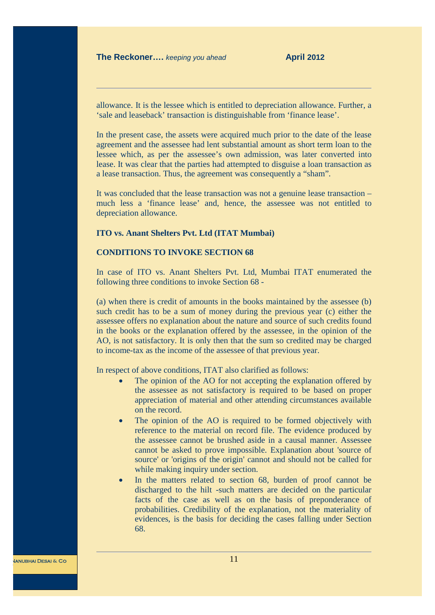allowance. It is the lessee which is entitled to depreciation allowance. Further, a 'sale and leaseback' transaction is distinguishable from 'finance lease'.

In the present case, the assets were acquired much prior to the date of the lease agreement and the assessee had lent substantial amount as short term loan to the lessee which, as per the assessee's own admission, was later converted into lease. It was clear that the parties had attempted to disguise a loan transaction as a lease transaction. Thus, the agreement was consequently a "sham".

It was concluded that the lease transaction was not a genuine lease transaction – much less a 'finance lease' and, hence, the assessee was not entitled to depreciation allowance.

#### **ITO vs. Anant Shelters Pvt. Ltd (ITAT Mumbai)**

# **CONDITIONS TO INVOKE SECTION 68**

In case of ITO vs. Anant Shelters Pvt. Ltd, Mumbai ITAT enumerated the following three conditions to invoke Section 68 -

(a) when there is credit of amounts in the books maintained by the assessee (b) such credit has to be a sum of money during the previous year (c) either the assessee offers no explanation about the nature and source of such credits found in the books or the explanation offered by the assessee, in the opinion of the AO, is not satisfactory. It is only then that the sum so credited may be charged to income-tax as the income of the assessee of that previous year.

In respect of above conditions, ITAT also clarified as follows:

- The opinion of the AO for not accepting the explanation offered by the assessee as not satisfactory is required to be based on proper appreciation of material and other attending circumstances available on the record.
- The opinion of the AO is required to be formed objectively with reference to the material on record file. The evidence produced by the assessee cannot be brushed aside in a causal manner. Assessee cannot be asked to prove impossible. Explanation about 'source of source' or 'origins of the origin' cannot and should not be called for while making inquiry under section.
- · In the matters related to section 68, burden of proof cannot be discharged to the hilt -such matters are decided on the particular facts of the case as well as on the basis of preponderance of probabilities. Credibility of the explanation, not the materiality of evidences, is the basis for deciding the cases falling under Section 68.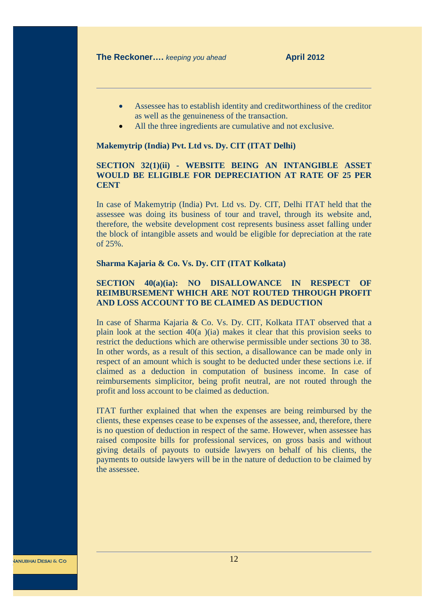- · Assessee has to establish identity and creditworthiness of the creditor as well as the genuineness of the transaction.
- All the three ingredients are cumulative and not exclusive.

#### **Makemytrip (India) Pvt. Ltd vs. Dy. CIT (ITAT Delhi)**

# **SECTION 32(1)(ii) - WEBSITE BEING AN INTANGIBLE ASSET WOULD BE ELIGIBLE FOR DEPRECIATION AT RATE OF 25 PER CENT**

In case of Makemytrip (India) Pvt. Ltd vs. Dy. CIT, Delhi ITAT held that the assessee was doing its business of tour and travel, through its website and, therefore, the website development cost represents business asset falling under the block of intangible assets and would be eligible for depreciation at the rate of 25%.

#### **Sharma Kajaria & Co. Vs. Dy. CIT (ITAT Kolkata)**

# **SECTION 40(a)(ia): NO DISALLOWANCE IN RESPECT OF REIMBURSEMENT WHICH ARE NOT ROUTED THROUGH PROFIT AND LOSS ACCOUNT TO BE CLAIMED AS DEDUCTION**

In case of Sharma Kajaria & Co. Vs. Dy. CIT, Kolkata ITAT observed that a plain look at the section  $40(a)$  (ia) makes it clear that this provision seeks to restrict the deductions which are otherwise permissible under sections 30 to 38. In other words, as a result of this section, a disallowance can be made only in respect of an amount which is sought to be deducted under these sections i.e. if claimed as a deduction in computation of business income. In case of reimbursements simplicitor, being profit neutral, are not routed through the profit and loss account to be claimed as deduction.

ITAT further explained that when the expenses are being reimbursed by the clients, these expenses cease to be expenses of the assessee, and, therefore, there is no question of deduction in respect of the same. However, when assessee has raised composite bills for professional services, on gross basis and without giving details of payouts to outside lawyers on behalf of his clients, the payments to outside lawyers will be in the nature of deduction to be claimed by the assessee.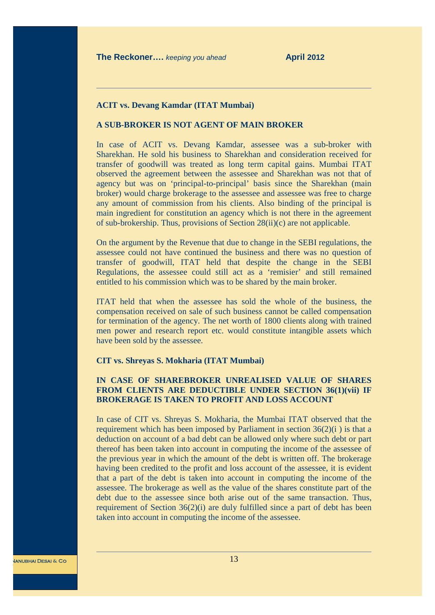#### **ACIT vs. Devang Kamdar (ITAT Mumbai)**

# **A SUB-BROKER IS NOT AGENT OF MAIN BROKER**

In case of ACIT vs. Devang Kamdar, assessee was a sub-broker with Sharekhan. He sold his business to Sharekhan and consideration received for transfer of goodwill was treated as long term capital gains. Mumbai ITAT observed the agreement between the assessee and Sharekhan was not that of agency but was on 'principal-to-principal' basis since the Sharekhan (main broker) would charge brokerage to the assessee and assessee was free to charge any amount of commission from his clients. Also binding of the principal is main ingredient for constitution an agency which is not there in the agreement of sub-brokership. Thus, provisions of Section 28(ii)(c) are not applicable.

On the argument by the Revenue that due to change in the SEBI regulations, the assessee could not have continued the business and there was no question of transfer of goodwill, ITAT held that despite the change in the SEBI Regulations, the assessee could still act as a 'remisier' and still remained entitled to his commission which was to be shared by the main broker.

ITAT held that when the assessee has sold the whole of the business, the compensation received on sale of such business cannot be called compensation for termination of the agency. The net worth of 1800 clients along with trained men power and research report etc. would constitute intangible assets which have been sold by the assessee.

#### **CIT vs. Shreyas S. Mokharia (ITAT Mumbai)**

# **IN CASE OF SHAREBROKER UNREALISED VALUE OF SHARES FROM CLIENTS ARE DEDUCTIBLE UNDER SECTION 36(1)(vii) IF BROKERAGE IS TAKEN TO PROFIT AND LOSS ACCOUNT**

In case of CIT vs. Shreyas S. Mokharia, the Mumbai ITAT observed that the requirement which has been imposed by Parliament in section 36(2)(i ) is that a deduction on account of a bad debt can be allowed only where such debt or part thereof has been taken into account in computing the income of the assessee of the previous year in which the amount of the debt is written off. The brokerage having been credited to the profit and loss account of the assessee, it is evident that a part of the debt is taken into account in computing the income of the assessee. The brokerage as well as the value of the shares constitute part of the debt due to the assessee since both arise out of the same transaction. Thus, requirement of Section 36(2)(i) are duly fulfilled since a part of debt has been taken into account in computing the income of the assessee.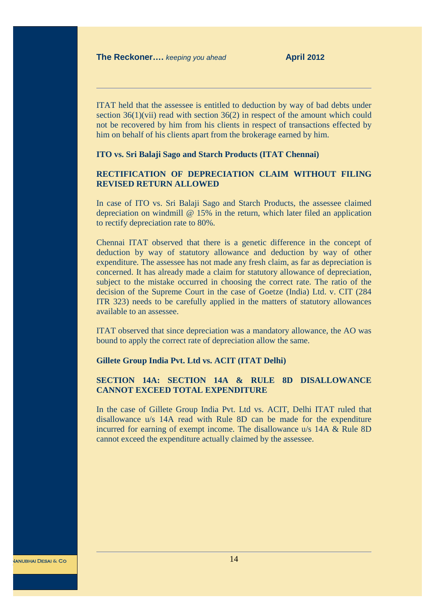ITAT held that the assessee is entitled to deduction by way of bad debts under section  $36(1)(\text{vii})$  read with section  $36(2)$  in respect of the amount which could not be recovered by him from his clients in respect of transactions effected by him on behalf of his clients apart from the brokerage earned by him.

#### **ITO vs. Sri Balaji Sago and Starch Products (ITAT Chennai)**

# **RECTIFICATION OF DEPRECIATION CLAIM WITHOUT FILING REVISED RETURN ALLOWED**

In case of ITO vs. Sri Balaji Sago and Starch Products, the assessee claimed depreciation on windmill  $\omega$  15% in the return, which later filed an application to rectify depreciation rate to 80%.

Chennai ITAT observed that there is a genetic difference in the concept of deduction by way of statutory allowance and deduction by way of other expenditure. The assessee has not made any fresh claim, as far as depreciation is concerned. It has already made a claim for statutory allowance of depreciation, subject to the mistake occurred in choosing the correct rate. The ratio of the decision of the Supreme Court in the case of Goetze (India) Ltd. v. CIT (284 ITR 323) needs to be carefully applied in the matters of statutory allowances available to an assessee.

ITAT observed that since depreciation was a mandatory allowance, the AO was bound to apply the correct rate of depreciation allow the same.

#### **Gillete Group India Pvt. Ltd vs. ACIT (ITAT Delhi)**

# **SECTION 14A: SECTION 14A & RULE 8D DISALLOWANCE CANNOT EXCEED TOTAL EXPENDITURE**

In the case of Gillete Group India Pvt. Ltd vs. ACIT, Delhi ITAT ruled that disallowance u/s 14A read with Rule 8D can be made for the expenditure incurred for earning of exempt income. The disallowance u/s 14A & Rule 8D cannot exceed the expenditure actually claimed by the assessee.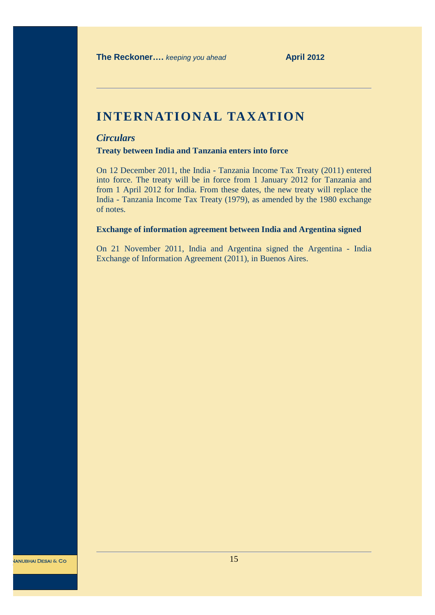# **INTERNATIONAL TAXATION**

# *Circulars*

**Treaty between India and Tanzania enters into force**

On 12 December 2011, the India - Tanzania Income Tax Treaty (2011) entered into force. The treaty will be in force from 1 January 2012 for Tanzania and from 1 April 2012 for India. From these dates, the new treaty will replace the India - Tanzania Income Tax Treaty (1979), as amended by the 1980 exchange of notes.

### **Exchange of information agreement between India and Argentina signed**

On 21 November 2011, India and Argentina signed the Argentina - India Exchange of Information Agreement (2011), in Buenos Aires.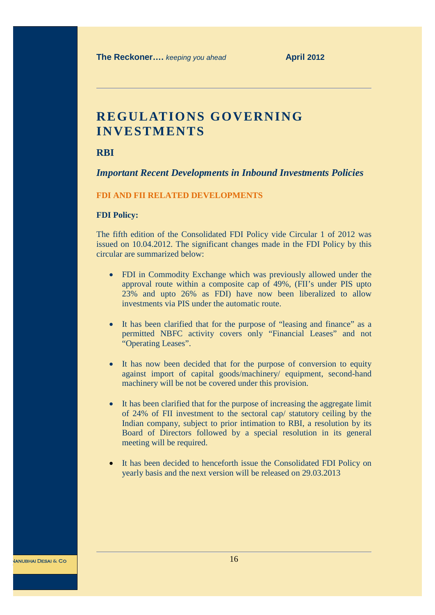# **REGULATIONS GOVERNING INVESTMENTS**

**RBI**

# *Important Recent Developments in Inbound Investments Policies*

#### **FDI AND FII RELATED DEVELOPMENTS**

#### **FDI Policy:**

The fifth edition of the Consolidated FDI Policy vide Circular 1 of 2012 was issued on 10.04.2012. The significant changes made in the FDI Policy by this circular are summarized below:

- FDI in Commodity Exchange which was previously allowed under the approval route within a composite cap of 49%, (FII's under PIS upto 23% and upto 26% as FDI) have now been liberalized to allow investments via PIS under the automatic route.
- · It has been clarified that for the purpose of "leasing and finance" as a permitted NBFC activity covers only "Financial Leases" and not "Operating Leases".
- It has now been decided that for the purpose of conversion to equity against import of capital goods/machinery/ equipment, second-hand machinery will be not be covered under this provision.
- · It has been clarified that for the purpose of increasing the aggregate limit of 24% of FII investment to the sectoral cap/ statutory ceiling by the Indian company, subject to prior intimation to RBI, a resolution by its Board of Directors followed by a special resolution in its general meeting will be required.
- It has been decided to henceforth issue the Consolidated FDI Policy on yearly basis and the next version will be released on 29.03.2013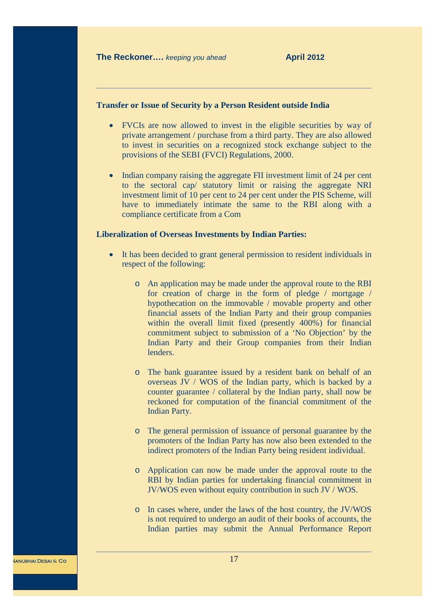#### **Transfer or Issue of Security by a Person Resident outside India**

- · FVCIs are now allowed to invest in the eligible securities by way of private arrangement / purchase from a third party. They are also allowed to invest in securities on a recognized stock exchange subject to the provisions of the SEBI (FVCI) Regulations, 2000.
- Indian company raising the aggregate FII investment limit of 24 per cent to the sectoral cap/ statutory limit or raising the aggregate NRI investment limit of 10 per cent to 24 per cent under the PIS Scheme, will have to immediately intimate the same to the RBI along with a compliance certificate from a Com

#### **Liberalization of Overseas Investments by Indian Parties:**

- · It has been decided to grant general permission to resident individuals in respect of the following:
	- o An application may be made under the approval route to the RBI for creation of charge in the form of pledge / mortgage / hypothecation on the immovable / movable property and other financial assets of the Indian Party and their group companies within the overall limit fixed (presently 400%) for financial commitment subject to submission of a 'No Objection' by the Indian Party and their Group companies from their Indian lenders.
	- o The bank guarantee issued by a resident bank on behalf of an overseas JV / WOS of the Indian party, which is backed by a counter guarantee / collateral by the Indian party, shall now be reckoned for computation of the financial commitment of the Indian Party.
	- o The general permission of issuance of personal guarantee by the promoters of the Indian Party has now also been extended to the indirect promoters of the Indian Party being resident individual.
	- o Application can now be made under the approval route to the RBI by Indian parties for undertaking financial commitment in JV/WOS even without equity contribution in such JV / WOS.
	- o In cases where, under the laws of the host country, the JV/WOS is not required to undergo an audit of their books of accounts, the Indian parties may submit the Annual Performance Report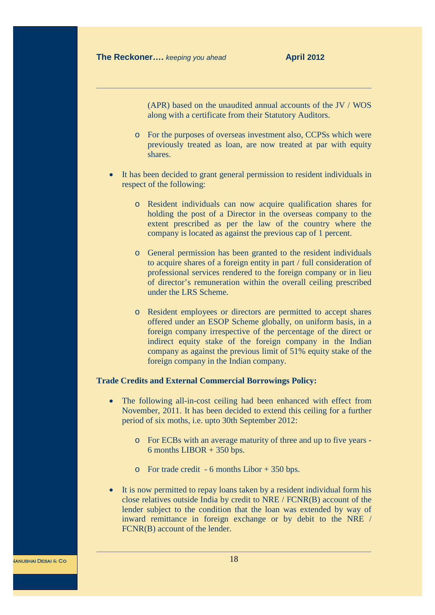(APR) based on the unaudited annual accounts of the JV / WOS along with a certificate from their Statutory Auditors.

- o For the purposes of overseas investment also, CCPSs which were previously treated as loan, are now treated at par with equity shares.
- It has been decided to grant general permission to resident individuals in respect of the following:
	- o Resident individuals can now acquire qualification shares for holding the post of a Director in the overseas company to the extent prescribed as per the law of the country where the company is located as against the previous cap of 1 percent.
	- o General permission has been granted to the resident individuals to acquire shares of a foreign entity in part / full consideration of professional services rendered to the foreign company or in lieu of director's remuneration within the overall ceiling prescribed under the LRS Scheme.
	- o Resident employees or directors are permitted to accept shares offered under an ESOP Scheme globally, on uniform basis, in a foreign company irrespective of the percentage of the direct or indirect equity stake of the foreign company in the Indian company as against the previous limit of 51% equity stake of the foreign company in the Indian company.

### **Trade Credits and External Commercial Borrowings Policy:**

- The following all-in-cost ceiling had been enhanced with effect from November, 2011. It has been decided to extend this ceiling for a further period of six moths, i.e. upto 30th September 2012:
	- o For ECBs with an average maturity of three and up to five years 6 months LIBOR + 350 bps.
	- o For trade credit 6 months Libor + 350 bps.
- It is now permitted to repay loans taken by a resident individual form his close relatives outside India by credit to NRE / FCNR(B) account of the lender subject to the condition that the loan was extended by way of inward remittance in foreign exchange or by debit to the NRE / FCNR(B) account of the lender.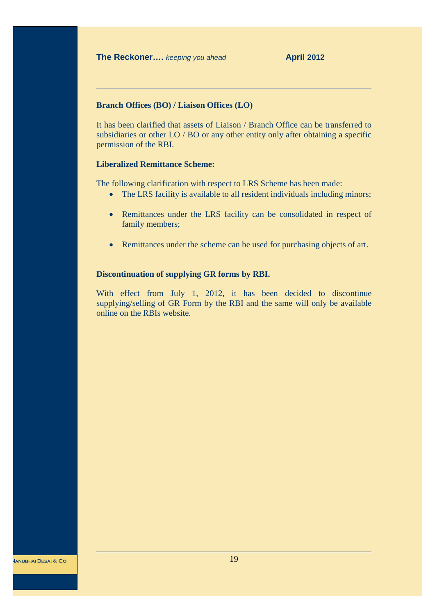#### **Branch Offices (BO) / Liaison Offices (LO)**

It has been clarified that assets of Liaison / Branch Office can be transferred to subsidiaries or other LO / BO or any other entity only after obtaining a specific permission of the RBI.

# **Liberalized Remittance Scheme:**

The following clarification with respect to LRS Scheme has been made:

- The LRS facility is available to all resident individuals including minors;
- · Remittances under the LRS facility can be consolidated in respect of family members;
- Remittances under the scheme can be used for purchasing objects of art.

#### **Discontinuation of supplying GR forms by RBI.**

With effect from July 1, 2012, it has been decided to discontinue supplying/selling of GR Form by the RBI and the same will only be available online on the RBIs website.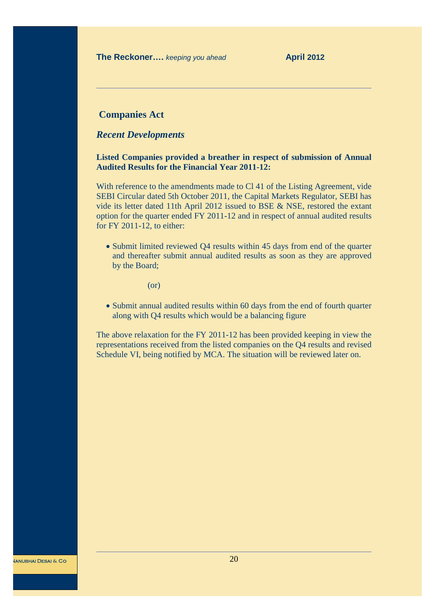# **Companies Act**

# *Recent Developments*

**Listed Companies provided a breather in respect of submission of Annual Audited Results for the Financial Year 2011-12:**

With reference to the amendments made to Cl 41 of the Listing Agreement, vide SEBI Circular dated 5th October 2011, the Capital Markets Regulator, SEBI has vide its letter dated 11th April 2012 issued to BSE & NSE, restored the extant option for the quarter ended FY 2011-12 and in respect of annual audited results for FY 2011-12, to either:

· Submit limited reviewed Q4 results within 45 days from end of the quarter and thereafter submit annual audited results as soon as they are approved by the Board;

(or)

· Submit annual audited results within 60 days from the end of fourth quarter along with Q4 results which would be a balancing figure

The above relaxation for the FY 2011-12 has been provided keeping in view the representations received from the listed companies on the Q4 results and revised Schedule VI, being notified by MCA. The situation will be reviewed later on.